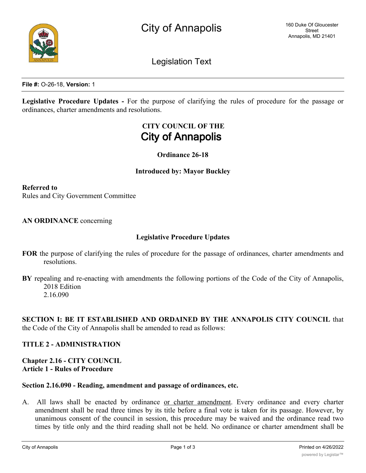

Legislation Text

**File #:** O-26-18, **Version:** 1

**Legislative Procedure Updates -** For the purpose of clarifying the rules of procedure for the passage or ordinances, charter amendments and resolutions.

# **CITY COUNCIL OF THE City of Annapolis**

**Ordinance 26-18**

## **Introduced by: Mayor Buckley**

**Referred to** Rules and City Government Committee

**AN ORDINANCE** concerning

#### **Legislative Procedure Updates**

- **FOR** the purpose of clarifying the rules of procedure for the passage of ordinances, charter amendments and resolutions.
- **BY** repealing and re-enacting with amendments the following portions of the Code of the City of Annapolis, 2018 Edition 2.16.090

**SECTION I: BE IT ESTABLISHED AND ORDAINED BY THE ANNAPOLIS CITY COUNCIL** that the Code of the City of Annapolis shall be amended to read as follows:

## **TITLE 2 - ADMINISTRATION**

## **Chapter 2.16 - CITY COUNCIL Article 1 - Rules of Procedure**

#### **Section 2.16.090 - Reading, amendment and passage of ordinances, etc.**

A. All laws shall be enacted by ordinance or charter amendment. Every ordinance and every charter amendment shall be read three times by its title before a final vote is taken for its passage. However, by unanimous consent of the council in session, this procedure may be waived and the ordinance read two times by title only and the third reading shall not be held. No ordinance or charter amendment shall be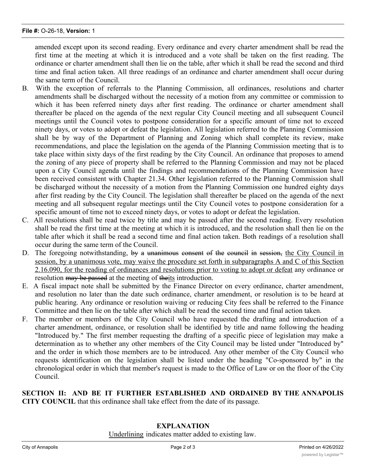amended except upon its second reading. Every ordinance and every charter amendment shall be read the first time at the meeting at which it is introduced and a vote shall be taken on the first reading. The ordinance or charter amendment shall then lie on the table, after which it shall be read the second and third time and final action taken. All three readings of an ordinance and charter amendment shall occur during the same term of the Council.

- B. With the exception of referrals to the Planning Commission, all ordinances, resolutions and charter amendments shall be discharged without the necessity of a motion from any committee or commission to which it has been referred ninety days after first reading. The ordinance or charter amendment shall thereafter be placed on the agenda of the next regular City Council meeting and all subsequent Council meetings until the Council votes to postpone consideration for a specific amount of time not to exceed ninety days, or votes to adopt or defeat the legislation. All legislation referred to the Planning Commission shall be by way of the Department of Planning and Zoning which shall complete its review, make recommendations, and place the legislation on the agenda of the Planning Commission meeting that is to take place within sixty days of the first reading by the City Council. An ordinance that proposes to amend the zoning of any piece of property shall be referred to the Planning Commission and may not be placed upon a City Council agenda until the findings and recommendations of the Planning Commission have been received consistent with Chapter 21.34. Other legislation referred to the Planning Commission shall be discharged without the necessity of a motion from the Planning Commission one hundred eighty days after first reading by the City Council. The legislation shall thereafter be placed on the agenda of the next meeting and all subsequent regular meetings until the City Council votes to postpone consideration for a specific amount of time not to exceed ninety days, or votes to adopt or defeat the legislation.
- C. All resolutions shall be read twice by title and may be passed after the second reading. Every resolution shall be read the first time at the meeting at which it is introduced, and the resolution shall then lie on the table after which it shall be read a second time and final action taken. Both readings of a resolution shall occur during the same term of the Council.
- D. The foregoing notwithstanding, by a unanimous consent of the council in session, the City Council in session, by a unanimous vote, may waive the procedure set forth in subparagraphs A and C of this Section 2.16.090, for the reading of ordinances and resolutions prior to voting to adopt or defeat any ordinance or resolution may be passed at the meeting of theits introduction.
- E. A fiscal impact note shall be submitted by the Finance Director on every ordinance, charter amendment, and resolution no later than the date such ordinance, charter amendment, or resolution is to be heard at public hearing. Any ordinance or resolution waiving or reducing City fees shall be referred to the Finance Committee and then lie on the table after which shall be read the second time and final action taken.
- F. The member or members of the City Council who have requested the drafting and introduction of a charter amendment, ordinance, or resolution shall be identified by title and name following the heading "Introduced by." The first member requesting the drafting of a specific piece of legislation may make a determination as to whether any other members of the City Council may be listed under "Introduced by" and the order in which those members are to be introduced. Any other member of the City Council who requests identification on the legislation shall be listed under the heading "Co-sponsored by" in the chronological order in which that member's request is made to the Office of Law or on the floor of the City Council.

**SECTION II: AND BE IT FURTHER ESTABLISHED AND ORDAINED BY THE ANNAPOLIS CITY COUNCIL** that this ordinance shall take effect from the date of its passage.